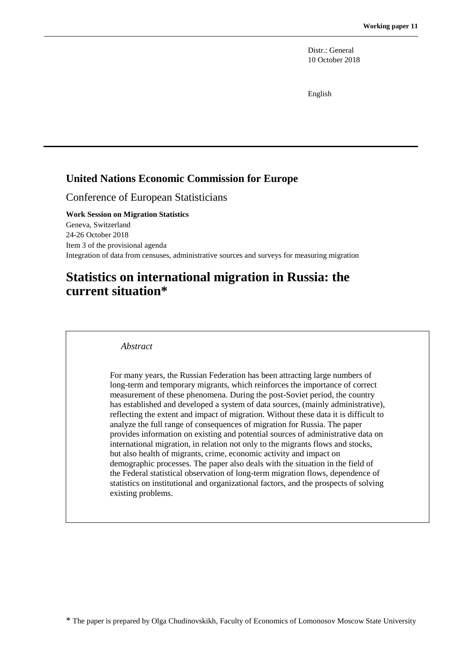Distr.: General 10 October 2018

English

#### **United Nations Economic Commission for Europe**

Conference of European Statisticians

**Work Session on Migration Statistics** Geneva, Switzerland 24-26 October 2018 Item 3 of the provisional agenda Integration of data from censuses, administrative sources and surveys for measuring migration

# **Statistics on international migration in Russia: the current situation\***

*Abstract*

For many years, the Russian Federation has been attracting large numbers of long-term and temporary migrants, which reinforces the importance of correct measurement of these phenomena. During the post-Soviet period, the country has established and developed a system of data sources, (mainly administrative), reflecting the extent and impact of migration. Without these data it is difficult to analyze the full range of consequences of migration for Russia. The paper provides information on existing and potential sources of administrative data on international migration, in relation not only to the migrants flows and stocks, but also health of migrants, crime, economic activity and impact on demographic processes. The paper also deals with the situation in the field of the Federal statistical observation of long-term migration flows, dependence of statistics on institutional and organizational factors, and the prospects of solving existing problems.

\* The paper is prepared by Olga Chudinovskikh, Faculty of Economics of Lomonosov Moscow State University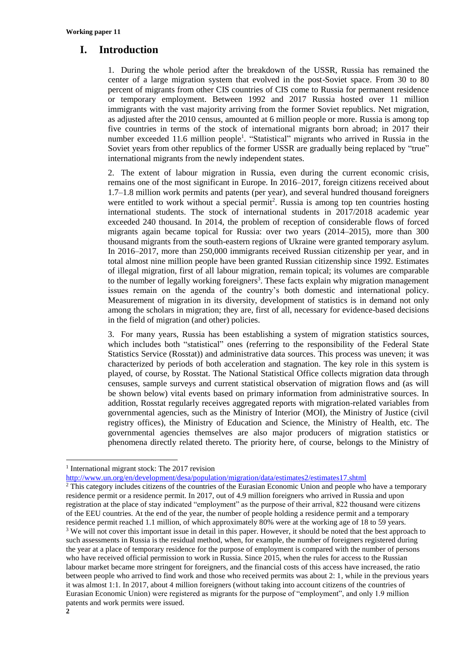#### **I. Introduction**

1. During the whole period after the breakdown of the USSR, Russia has remained the center of a large migration system that evolved in the post-Soviet space. From 30 to 80 percent of migrants from other CIS countries of CIS come to Russia for permanent residence or temporary employment. Between 1992 and 2017 Russia hosted over 11 million immigrants with the vast majority arriving from the former Soviet republics. Net migration, as adjusted after the 2010 census, amounted at 6 million people or more. Russia is among top five countries in terms of the stock of international migrants born abroad; in 2017 their number exceeded 11.6 million people<sup>1</sup>. "Statistical" migrants who arrived in Russia in the Soviet years from other republics of the former USSR are gradually being replaced by "true" international migrants from the newly independent states.

2. The extent of labour migration in Russia, even during the current economic crisis, remains one of the most significant in Europe. In 2016–2017, foreign citizens received about 1.7–1.8 million work permits and patents (per year), and several hundred thousand foreigners were entitled to work without a special permit<sup>2</sup>. Russia is among top ten countries hosting international students. The stock of international students in 2017/2018 academic year exceeded 240 thousand. In 2014, the problem of reception of considerable flows of forced migrants again became topical for Russia: over two years (2014–2015), more than 300 thousand migrants from the south-eastern regions of Ukraine were granted temporary asylum. In 2016–2017, more than 250,000 immigrants received Russian citizenship per year, and in total almost nine million people have been granted Russian citizenship since 1992. Estimates of illegal migration, first of all labour migration, remain topical; its volumes are comparable to the number of legally working foreigners<sup>3</sup>. These facts explain why migration management issues remain on the agenda of the country's both domestic and international policy. Measurement of migration in its diversity, development of statistics is in demand not only among the scholars in migration; they are, first of all, necessary for evidence-based decisions in the field of migration (and other) policies.

3. For many years, Russia has been establishing a system of migration statistics sources, which includes both "statistical" ones (referring to the responsibility of the Federal State Statistics Service (Rosstat)) and administrative data sources. This process was uneven; it was characterized by periods of both acceleration and stagnation. The key role in this system is played, of course, by Rosstat. The National Statistical Office collects migration data through censuses, sample surveys and current statistical observation of migration flows and (as will be shown below) vital events based on primary information from administrative sources. In addition, Rosstat regularly receives aggregated reports with migration-related variables from governmental agencies, such as the Ministry of Interior (MOI), the Ministry of Justice (civil registry offices), the Ministry of Education and Science, the Ministry of Health, etc. The governmental agencies themselves are also major producers of migration statistics or phenomena directly related thereto. The priority here, of course, belongs to the Ministry of

1

<http://www.un.org/en/development/desa/population/migration/data/estimates2/estimates17.shtml>

<sup>&</sup>lt;sup>1</sup> International migrant stock: The 2017 revision

**<sup>2</sup>** <sup>2</sup> This category includes citizens of the countries of the Eurasian Economic Union and people who have a temporary residence permit or a residence permit. In 2017, out of 4.9 million foreigners who arrived in Russia and upon registration at the place of stay indicated "employment" as the purpose of their arrival, 822 thousand were citizens of the EEU countries. At the end of the year, the number of people holding a residence permit and a temporary residence permit reached 1.1 million, of which approximately 80% were at the working age of 18 to 59 years. <sup>3</sup> We will not cover this important issue in detail in this paper. However, it should be noted that the best approach to such assessments in Russia is the residual method, when, for example, the number of foreigners registered during the year at a place of temporary residence for the purpose of employment is compared with the number of persons who have received official permission to work in Russia. Since 2015, when the rules for access to the Russian labour market became more stringent for foreigners, and the financial costs of this access have increased, the ratio between people who arrived to find work and those who received permits was about 2: 1, while in the previous years it was almost 1:1. In 2017, about 4 million foreigners (without taking into account citizens of the countries of Eurasian Economic Union) were registered as migrants for the purpose of "employment", and only 1.9 million patents and work permits were issued.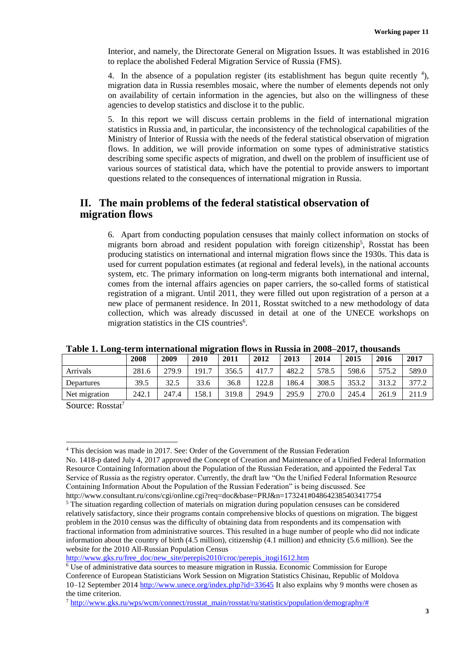Interior, and namely, the Directorate General on Migration Issues. It was established in 2016 to replace the abolished Federal Migration Service of Russia (FMS).

4. In the absence of a population register (its establishment has begun quite recently  $4$ ), migration data in Russia resembles mosaic, where the number of elements depends not only on availability of certain information in the agencies, but also on the willingness of these agencies to develop statistics and disclose it to the public.

5. In this report we will discuss certain problems in the field of international migration statistics in Russia and, in particular, the inconsistency of the technological capabilities of the Ministry of Interior of Russia with the needs of the federal statistical observation of migration flows. In addition, we will provide information on some types of administrative statistics describing some specific aspects of migration, and dwell on the problem of insufficient use of various sources of statistical data, which have the potential to provide answers to important questions related to the consequences of international migration in Russia.

#### **II. The main problems of the federal statistical observation of migration flows**

6. Apart from conducting population censuses that mainly collect information on stocks of migrants born abroad and resident population with foreign citizenship<sup>5</sup>, Rosstat has been producing statistics on international and internal migration flows since the 1930s. This data is used for current population estimates (at regional and federal levels), in the national accounts system, etc. The primary information on long-term migrants both international and internal, comes from the internal affairs agencies on paper carriers, the so-called forms of statistical registration of a migrant. Until 2011, they were filled out upon registration of a person at a new place of permanent residence. In 2011, Rosstat switched to a new methodology of data collection, which was already discussed in detail at one of the UNECE workshops on migration statistics in the CIS countries<sup>6</sup>.

|               |       |       | -     |       |       |       |       |       |       |       |
|---------------|-------|-------|-------|-------|-------|-------|-------|-------|-------|-------|
|               | 2008  | 2009  | 2010  | 2011  | 2012  | 2013  | 2014  | 2015  | 2016  | 2017  |
| Arrivals      | 281.6 | 279.9 | 191.7 | 356.5 | 417.7 | 482.2 | 578.5 | 598.6 | 575.2 | 589.0 |
| Departures    | 39.5  | 32.5  | 33.6  | 36.8  | 122.8 | 186.4 | 308.5 | 353.2 | 313.2 | 377.2 |
| Net migration | 242.1 | 247.4 | 158.1 | 319.8 | 294.9 | 295.9 | 270.0 | 245.4 | 261.9 | 211.9 |

**Table 1. Long-term international migration flows in Russia in 2008–2017, thousands** 

Source: Rosstat<sup>7</sup>

<sup>4</sup> This decision was made in 2017. See: Order of the Government of the Russian Federation No. 1418-p dated July 4, 2017 approved the Concept of Creation and Maintenance of a Unified Federal Information Resource Containing Information about the Population of the Russian Federation, and appointed the Federal Tax Service of Russia as the registry operator. Currently, the draft law "On the Unified Federal Information Resource Containing Information About the Population of the Russian Federation" is being discussed. See http://www.consultant.ru/cons/cgi/online.cgi?req=doc&base=PRJ&n=173241#048642385403417754

<sup>&</sup>lt;sup>5</sup> The situation regarding collection of materials on migration during population censuses can be considered relatively satisfactory, since their programs contain comprehensive blocks of questions on migration. The biggest problem in the 2010 census was the difficulty of obtaining data from respondents and its compensation with fractional information from administrative sources. This resulted in a huge number of people who did not indicate information about the country of birth (4.5 million), citizenship (4.1 million) and ethnicity (5.6 million). See the website for the 2010 All-Russian Population Census

[http://www.gks.ru/free\\_doc/new\\_site/perepis2010/croc/perepis\\_itogi1612.htm](http://www.gks.ru/free_doc/new_site/perepis2010/croc/perepis_itogi1612.htm)

<sup>6</sup> Use of administrative data sources to measure migration in Russia. Economic Commission for Europe Conference of European Statisticians Work Session on Migration Statistics Chisinau, Republic of Moldova 10–12 September 2014<http://www.unece.org/index.php?id=33645> It also explains why 9 months were chosen as the time criterion.

 $^7$  [http://www.gks.ru/wps/wcm/connect/rosstat\\_main/rosstat/ru/statistics/population/demography/#](http://www.gks.ru/wps/wcm/connect/rosstat_main/rosstat/ru/statistics/population/demography/%23)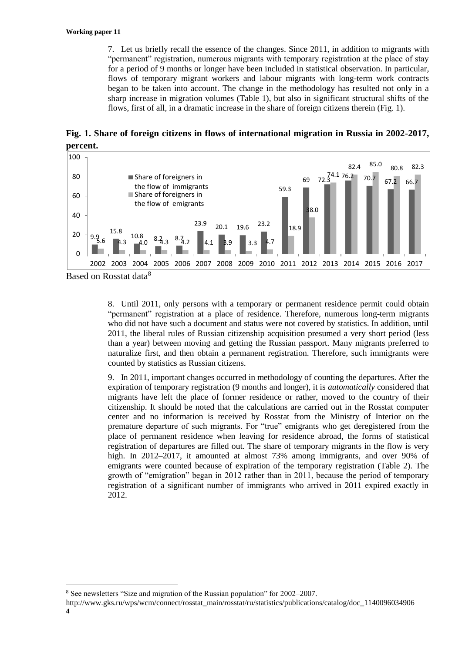7. Let us briefly recall the essence of the changes. Since 2011, in addition to migrants with "permanent" registration, numerous migrants with temporary registration at the place of stay for a period of 9 months or longer have been included in statistical observation. In particular, flows of temporary migrant workers and labour migrants with long-term work contracts began to be taken into account. The change in the methodology has resulted not only in a sharp increase in migration volumes (Table 1), but also in significant structural shifts of the flows, first of all, in a dramatic increase in the share of foreign citizens therein (Fig. 1).

**Fig. 1. Share of foreign citizens in flows of international migration in Russia in 2002-2017, percent.**



Based on Rosstat data<sup>8</sup>

<u>.</u>

8. Until 2011, only persons with a temporary or permanent residence permit could obtain "permanent" registration at a place of residence. Therefore, numerous long-term migrants who did not have such a document and status were not covered by statistics. In addition, until 2011, the liberal rules of Russian citizenship acquisition presumed a very short period (less than a year) between moving and getting the Russian passport. Many migrants preferred to naturalize first, and then obtain a permanent registration. Therefore, such immigrants were counted by statistics as Russian citizens.

9. In 2011, important changes occurred in methodology of counting the departures. After the expiration of temporary registration (9 months and longer), it is *automatically* considered that migrants have left the place of former residence or rather, moved to the country of their citizenship. It should be noted that the calculations are carried out in the Rosstat computer center and no information is received by Rosstat from the Ministry of Interior on the premature departure of such migrants. For "true" emigrants who get deregistered from the place of permanent residence when leaving for residence abroad, the forms of statistical registration of departures are filled out. The share of temporary migrants in the flow is very high. In 2012–2017, it amounted at almost 73% among immigrants, and over 90% of emigrants were counted because of expiration of the temporary registration (Table 2). The growth of "emigration" began in 2012 rather than in 2011, because the period of temporary registration of a significant number of immigrants who arrived in 2011 expired exactly in 2012.

<sup>8</sup> See newsletters "Size and migration of the Russian population" for 2002–2007.

**<sup>4</sup>** http://www.gks.ru/wps/wcm/connect/rosstat\_main/rosstat/ru/statistics/publications/catalog/doc\_1140096034906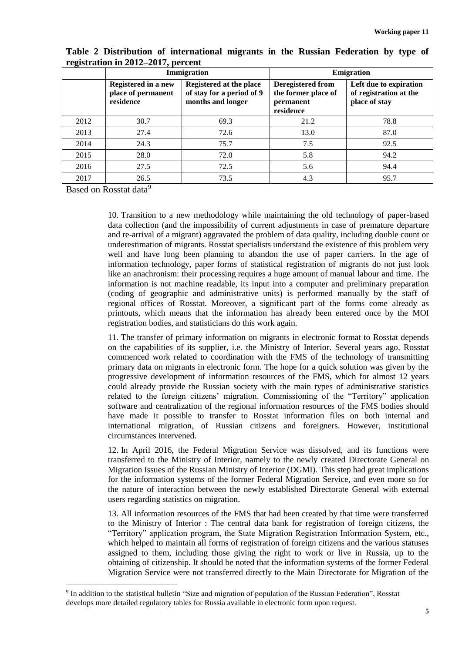|      |                                                        | Immigration                                                               | <b>Emigration</b>                                                  |                                                                   |  |  |
|------|--------------------------------------------------------|---------------------------------------------------------------------------|--------------------------------------------------------------------|-------------------------------------------------------------------|--|--|
|      | Registered in a new<br>place of permanent<br>residence | Registered at the place<br>of stay for a period of 9<br>months and longer | Deregistered from<br>the former place of<br>permanent<br>residence | Left due to expiration<br>of registration at the<br>place of stay |  |  |
| 2012 | 30.7                                                   | 69.3                                                                      | 21.2                                                               | 78.8                                                              |  |  |
| 2013 | 27.4                                                   | 72.6                                                                      | 13.0                                                               | 87.0                                                              |  |  |
| 2014 | 24.3                                                   | 75.7                                                                      | 7.5                                                                | 92.5                                                              |  |  |
| 2015 | 28.0                                                   | 72.0                                                                      | 5.8                                                                | 94.2                                                              |  |  |
| 2016 | 27.5                                                   | 72.5                                                                      | 5.6                                                                | 94.4                                                              |  |  |
| 2017 | 26.5                                                   | 73.5                                                                      | 4.3                                                                | 95.7                                                              |  |  |

**Table 2 Distribution of international migrants in the Russian Federation by type of registration in 2012–2017, percent**

Based on Rosstat data<sup>9</sup>

<u>.</u>

10. Transition to a new methodology while maintaining the old technology of paper-based data collection (and the impossibility of current adjustments in case of premature departure and re-arrival of a migrant) aggravated the problem of data quality, including double count or underestimation of migrants. Rosstat specialists understand the existence of this problem very well and have long been planning to abandon the use of paper carriers. In the age of information technology, paper forms of statistical registration of migrants do not just look like an anachronism: their processing requires a huge amount of manual labour and time. The information is not machine readable, its input into a computer and preliminary preparation (coding of geographic and administrative units) is performed manually by the staff of regional offices of Rosstat. Moreover, a significant part of the forms come already as printouts, which means that the information has already been entered once by the MOI registration bodies, and statisticians do this work again.

11. The transfer of primary information on migrants in electronic format to Rosstat depends on the capabilities of its supplier, i.e. the Ministry of Interior. Several years ago, Rosstat commenced work related to coordination with the FMS of the technology of transmitting primary data on migrants in electronic form. The hope for a quick solution was given by the progressive development of information resources of the FMS, which for almost 12 years could already provide the Russian society with the main types of administrative statistics related to the foreign citizens' migration. Commissioning of the "Territory" application software and centralization of the regional information resources of the FMS bodies should have made it possible to transfer to Rosstat information files on both internal and international migration, of Russian citizens and foreigners. However, institutional circumstances intervened.

12. In April 2016, the Federal Migration Service was dissolved, and its functions were transferred to the Ministry of Interior, namely to the newly created Directorate General on Migration Issues of the Russian Ministry of Interior (DGMI). This step had great implications for the information systems of the former Federal Migration Service, and even more so for the nature of interaction between the newly established Directorate General with external users regarding statistics on migration.

13. All information resources of the FMS that had been created by that time were transferred to the Ministry of Interior : The central data bank for registration of foreign citizens, the "Territory" application program, the State Migration Registration Information System, etc., which helped to maintain all forms of registration of foreign citizens and the various statuses assigned to them, including those giving the right to work or live in Russia, up to the obtaining of citizenship. It should be noted that the information systems of the former Federal Migration Service were not transferred directly to the Main Directorate for Migration of the

<sup>&</sup>lt;sup>9</sup> In addition to the statistical bulletin "Size and migration of population of the Russian Federation", Rosstat develops more detailed regulatory tables for Russia available in electronic form upon request.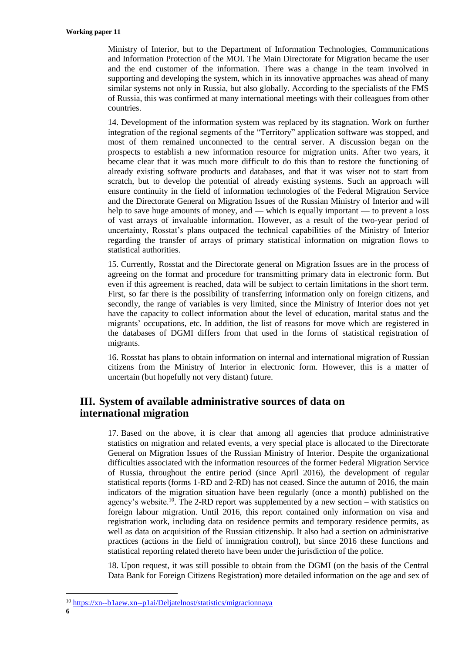Ministry of Interior, but to the Department of Information Technologies, Communications and Information Protection of the MOI. The Main Directorate for Migration became the user and the end customer of the information. There was a change in the team involved in supporting and developing the system, which in its innovative approaches was ahead of many similar systems not only in Russia, but also globally. According to the specialists of the FMS of Russia, this was confirmed at many international meetings with their colleagues from other countries.

14. Development of the information system was replaced by its stagnation. Work on further integration of the regional segments of the "Territory" application software was stopped, and most of them remained unconnected to the central server. A discussion began on the prospects to establish a new information resource for migration units. After two years, it became clear that it was much more difficult to do this than to restore the functioning of already existing software products and databases, and that it was wiser not to start from scratch, but to develop the potential of already existing systems. Such an approach will ensure continuity in the field of information technologies of the Federal Migration Service and the Directorate General on Migration Issues of the Russian Ministry of Interior and will help to save huge amounts of money, and — which is equally important — to prevent a loss of vast arrays of invaluable information. However, as a result of the two-year period of uncertainty, Rosstat's plans outpaced the technical capabilities of the Ministry of Interior regarding the transfer of arrays of primary statistical information on migration flows to statistical authorities.

15. Currently, Rosstat and the Directorate general on Migration Issues are in the process of agreeing on the format and procedure for transmitting primary data in electronic form. But even if this agreement is reached, data will be subject to certain limitations in the short term. First, so far there is the possibility of transferring information only on foreign citizens, and secondly, the range of variables is very limited, since the Ministry of Interior does not yet have the capacity to collect information about the level of education, marital status and the migrants' occupations, etc. In addition, the list of reasons for move which are registered in the databases of DGMI differs from that used in the forms of statistical registration of migrants.

16. Rosstat has plans to obtain information on internal and international migration of Russian citizens from the Ministry of Interior in electronic form. However, this is a matter of uncertain (but hopefully not very distant) future.

## **III. System of available administrative sources of data on international migration**

17. Based on the above, it is clear that among all agencies that produce administrative statistics on migration and related events, a very special place is allocated to the Directorate General on Migration Issues of the Russian Ministry of Interior. Despite the organizational difficulties associated with the information resources of the former Federal Migration Service of Russia, throughout the entire period (since April 2016), the development of regular statistical reports (forms 1-RD and 2-RD) has not ceased. Since the autumn of 2016, the main indicators of the migration situation have been regularly (once a month) published on the agency's website.<sup>10</sup>. The 2-RD report was supplemented by a new section – with statistics on foreign labour migration. Until 2016, this report contained only information on visa and registration work, including data on residence permits and temporary residence permits, as well as data on acquisition of the Russian citizenship. It also had a section on administrative practices (actions in the field of immigration control), but since 2016 these functions and statistical reporting related thereto have been under the jurisdiction of the police.

18. Upon request, it was still possible to obtain from the DGMI (on the basis of the Central Data Bank for Foreign Citizens Registration) more detailed information on the age and sex of

<sup>10</sup> [https://xn--b1aew.xn--p1ai/Deljatelnost/statistics/migracionnaya](https://мвд.рф/Deljatelnost/statistics/migracionnaya)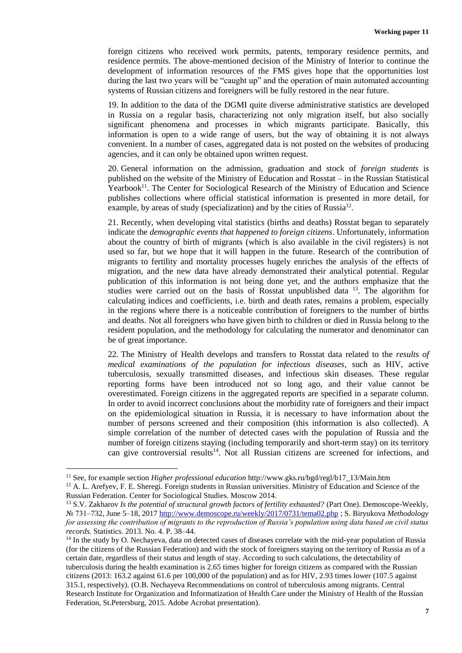foreign citizens who received work permits, patents, temporary residence permits, and residence permits. The above-mentioned decision of the Ministry of Interior to continue the development of information resources of the FMS gives hope that the opportunities lost during the last two years will be "caught up" and the operation of main automated accounting systems of Russian citizens and foreigners will be fully restored in the near future.

19. In addition to the data of the DGMI quite diverse administrative statistics are developed in Russia on a regular basis, characterizing not only migration itself, but also socially significant phenomena and processes in which migrants participate. Basically, this information is open to a wide range of users, but the way of obtaining it is not always convenient. In a number of cases, aggregated data is not posted on the websites of producing agencies, and it can only be obtained upon written request.

20. General information on the admission, graduation and stock of *foreign students* is published on the website of the Ministry of Education and Rosstat – in the Russian Statistical Yearbook<sup>11</sup>. The Center for Sociological Research of the Ministry of Education and Science publishes collections where official statistical information is presented in more detail, for example, by areas of study (specialization) and by the cities of Russia<sup>12</sup>.

21. Recently, when developing vital statistics (births and deaths) Rosstat began to separately indicate the *demographic events that happened to foreign citizens*. Unfortunately, information about the country of birth of migrants (which is also available in the civil registers) is not used so far, but we hope that it will happen in the future. Research of the contribution of migrants to fertility and mortality processes hugely enriches the analysis of the effects of migration, and the new data have already demonstrated their analytical potential. Regular publication of this information is not being done yet, and the authors emphasize that the studies were carried out on the basis of Rosstat unpublished data <sup>13</sup>. The algorithm for calculating indices and coefficients, i.e. birth and death rates, remains a problem, especially in the regions where there is a noticeable contribution of foreigners to the number of births and deaths. Not all foreigners who have given birth to children or died in Russia belong to the resident population, and the methodology for calculating the numerator and denominator can be of great importance.

22. The Ministry of Health develops and transfers to Rosstat data related to the *results of medical examinations of the population for infectious diseases*, such as HIV, active tuberculosis, sexually transmitted diseases, and infectious skin diseases. These regular reporting forms have been introduced not so long ago, and their value cannot be overestimated. Foreign citizens in the aggregated reports are specified in a separate column. In order to avoid incorrect conclusions about the morbidity rate of foreigners and their impact on the epidemiological situation in Russia, it is necessary to have information about the number of persons screened and their composition (this information is also collected). A simple correlation of the number of detected cases with the population of Russia and the number of foreign citizens staying (including temporarily and short-term stay) on its territory can give controversial results<sup>14</sup>. Not all Russian citizens are screened for infections, and

<u>.</u>

<sup>11</sup> See, for example section *Higher professional education* http://www.gks.ru/bgd/regl/b17\_13/Main.htm

<sup>&</sup>lt;sup>12</sup> A. L. Arefyev, F. E. Sheregi. Foreign students in Russian universities. Ministry of Education and Science of the Russian Federation. Center for Sociological Studies. Moscow 2014.

<sup>13</sup> S.V. Zakharov *Is the potential of structural growth factors of fertility exhausted?* (Part One). Demoscope-Weekly, № 731–732, June 5–18, 2017<http://www.demoscope.ru/weekly/2017/0731/tema02.php> ; S. Biryukova *Methodology for assessing the contribution of migrants to the reproduction of Russia's population using data based on civil status records.* Statistics. 2013. No. 4. P. 38–44.

<sup>&</sup>lt;sup>14</sup> In the study by O. Nechayeva, data on detected cases of diseases correlate with the mid-year population of Russia (for the citizens of the Russian Federation) and with the stock of foreigners staying on the territory of Russia as of a certain date, regardless of their status and length of stay. According to such calculations, the detectability of tuberculosis during the health examination is 2.65 times higher for foreign citizens as compared with the Russian citizens (2013: 163.2 against 61.6 per 100,000 of the population) and as for HIV, 2.93 times lower (107.5 against 315.1, respectively). (O.B. Nechayeva Recommendations on control of tuberculosis among migrants. Central Research Institute for Organization and Informatization of Health Care under the Ministry of Health of the Russian Federation, St.Petersburg, 2015. Adobe Acrobat presentation).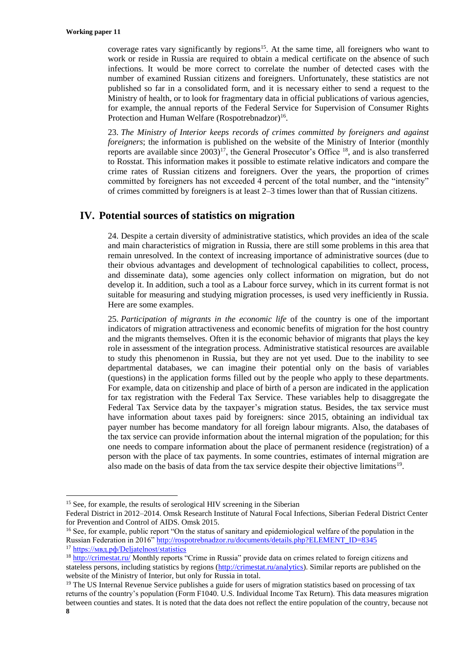coverage rates vary significantly by regions<sup>15</sup>. At the same time, all foreigners who want to work or reside in Russia are required to obtain a medical certificate on the absence of such infections. It would be more correct to correlate the number of detected cases with the number of examined Russian citizens and foreigners. Unfortunately, these statistics are not published so far in a consolidated form, and it is necessary either to send a request to the Ministry of health, or to look for fragmentary data in official publications of various agencies, for example, the annual reports of the Federal Service for Supervision of Consumer Rights Protection and Human Welfare (Rospotrebnadzor)<sup>16</sup>.

23. *The Ministry of Interior keeps records of crimes committed by foreigners and against foreigners*; the information is published on the website of the Ministry of Interior (monthly reports are available since  $2003$ <sup>17</sup>, the General Prosecutor's Office  $^{18}$ , and is also transferred to Rosstat. This information makes it possible to estimate relative indicators and compare the crime rates of Russian citizens and foreigners. Over the years, the proportion of crimes committed by foreigners has not exceeded 4 percent of the total number, and the "intensity" of crimes committed by foreigners is at least 2–3 times lower than that of Russian citizens.

## **IV. Potential sources of statistics on migration**

24. Despite a certain diversity of administrative statistics, which provides an idea of the scale and main characteristics of migration in Russia, there are still some problems in this area that remain unresolved. In the context of increasing importance of administrative sources (due to their obvious advantages and development of technological capabilities to collect, process, and disseminate data), some agencies only collect information on migration, but do not develop it. In addition, such a tool as a Labour force survey, which in its current format is not suitable for measuring and studying migration processes, is used very inefficiently in Russia. Here are some examples.

25. *Participation of migrants in the economic life* of the country is one of the important indicators of migration attractiveness and economic benefits of migration for the host country and the migrants themselves. Often it is the economic behavior of migrants that plays the key role in assessment of the integration process. Administrative statistical resources are available to study this phenomenon in Russia, but they are not yet used. Due to the inability to see departmental databases, we can imagine their potential only on the basis of variables (questions) in the application forms filled out by the people who apply to these departments. For example, data on citizenship and place of birth of a person are indicated in the application for tax registration with the Federal Tax Service. These variables help to disaggregate the Federal Tax Service data by the taxpayer's migration status. Besides, the tax service must have information about taxes paid by foreigners: since 2015, obtaining an individual tax payer number has become mandatory for all foreign labour migrants. Also, the databases of the tax service can provide information about the internal migration of the population; for this one needs to compare information about the place of permanent residence (registration) of a person with the place of tax payments. In some countries, estimates of internal migration are also made on the basis of data from the tax service despite their objective limitations<sup>19</sup>.

<sup>&</sup>lt;sup>15</sup> See, for example, the results of serological HIV screening in the Siberian

Federal District in 2012–2014. Omsk Research Institute of Natural Focal Infections, Siberian Federal District Center for Prevention and Control of AIDS. Omsk 2015.

<sup>&</sup>lt;sup>16</sup> See, for example, public report "On the status of sanitary and epidemiological welfare of the population in the Russian Federation in 2016[" http://rospotrebnadzor.ru/documents/details.php?ELEMENT\\_ID=8345](http://rospotrebnadzor.ru/documents/details.php?ELEMENT_ID=8345%20%20) 

<sup>17</sup> <https://мвд.рф/Deljatelnost/statistics>

<sup>&</sup>lt;sup>18</sup> <http://crimestat.ru/> Monthly reports "Crime in Russia" provide data on crimes related to foreign citizens and stateless persons, including statistics by regions [\(http://crimestat.ru/analytics\)](http://crimestat.ru/analytics). Similar reports are published on the website of the Ministry of Interior, but only for Russia in total.

**<sup>8</sup>** <sup>19</sup> The US Internal Revenue Service publishes a guide for users of migration statistics based on processing of tax returns of the country's population (Form F1040. U.S. Individual Income Tax Return). This data measures migration between counties and states. It is noted that the data does not reflect the entire population of the country, because not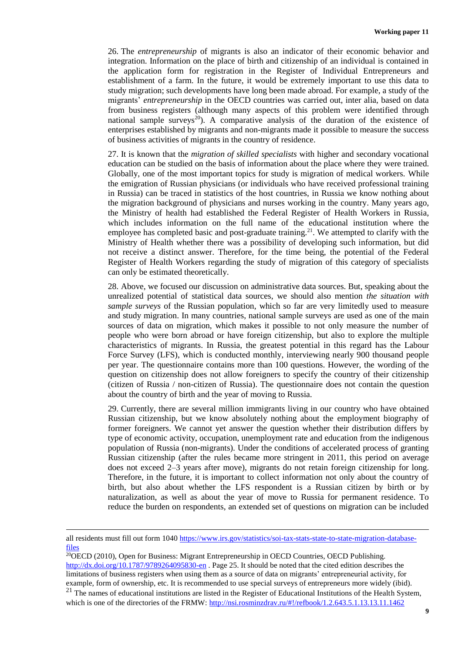26. The *entrepreneurship* of migrants is also an indicator of their economic behavior and integration. Information on the place of birth and citizenship of an individual is contained in the application form for registration in the Register of Individual Entrepreneurs and establishment of a farm. In the future, it would be extremely important to use this data to study migration; such developments have long been made abroad. For example, a study of the migrants' *entrepreneurship* in the OECD countries was carried out, inter alia, based on data from business registers (although many aspects of this problem were identified through national sample surveys<sup>20</sup>). A comparative analysis of the duration of the existence of enterprises established by migrants and non-migrants made it possible to measure the success of business activities of migrants in the country of residence.

27. It is known that the *migration of skilled specialists* with higher and secondary vocational education can be studied on the basis of information about the place where they were trained. Globally, one of the most important topics for study is migration of medical workers. While the emigration of Russian physicians (or individuals who have received professional training in Russia) can be traced in statistics of the host countries, in Russia we know nothing about the migration background of physicians and nurses working in the country. Many years ago, the Ministry of health had established the Federal Register of Health Workers in Russia, which includes information on the full name of the educational institution where the employee has completed basic and post-graduate training.<sup>21</sup>. We attempted to clarify with the Ministry of Health whether there was a possibility of developing such information, but did not receive a distinct answer. Therefore, for the time being, the potential of the Federal Register of Health Workers regarding the study of migration of this category of specialists can only be estimated theoretically.

28. Above, we focused our discussion on administrative data sources. But, speaking about the unrealized potential of statistical data sources, we should also mention *the situation with sample surveys* of the Russian population, which so far are very limitedly used to measure and study migration. In many countries, national sample surveys are used as one of the main sources of data on migration, which makes it possible to not only measure the number of people who were born abroad or have foreign citizenship, but also to explore the multiple characteristics of migrants. In Russia, the greatest potential in this regard has the Labour Force Survey (LFS), which is conducted monthly, interviewing nearly 900 thousand people per year. The questionnaire contains more than 100 questions. However, the wording of the question on citizenship does not allow foreigners to specify the country of their citizenship (citizen of Russia / non-citizen of Russia). The questionnaire does not contain the question about the country of birth and the year of moving to Russia.

29. Currently, there are several million immigrants living in our country who have obtained Russian citizenship, but we know absolutely nothing about the employment biography of former foreigners. We cannot yet answer the question whether their distribution differs by type of economic activity, occupation, unemployment rate and education from the indigenous population of Russia (non-migrants). Under the conditions of accelerated process of granting Russian citizenship (after the rules became more stringent in 2011, this period on average does not exceed 2–3 years after move), migrants do not retain foreign citizenship for long. Therefore, in the future, it is important to collect information not only about the country of birth, but also about whether the LFS respondent is a Russian citizen by birth or by naturalization, as well as about the year of move to Russia for permanent residence. To reduce the burden on respondents, an extended set of questions on migration can be included

<u>.</u>

 $\overline{^{20}$ OECD (2010), Open for Business: Migrant Entrepreneurship in OECD Countries, OECD Publishing. <http://dx.doi.org/10.1787/9789264095830-en> . Page 25. It should be noted that the cited edition describes the limitations of business registers when using them as a source of data on migrants' entrepreneurial activity, for example, form of ownership, etc. It is recommended to use special surveys of entrepreneurs more widely (ibid).  $21$  The names of educational institutions are listed in the Register of Educational Institutions of the Health System,

which is one of the directories of the FRMW[: http://nsi.rosminzdrav.ru/#!/refbook/1.2.643.5.1.13.13.11.1462](http://nsi.rosminzdrav.ru/#!/refbook/1.2.643.5.1.13.13.11.1462)

all residents must fill out form 104[0 https://www.irs.gov/statistics/soi-tax-stats-state-to-state-migration-database](https://www.irs.gov/statistics/soi-tax-stats-state-to-state-migration-database-files)[files](https://www.irs.gov/statistics/soi-tax-stats-state-to-state-migration-database-files)